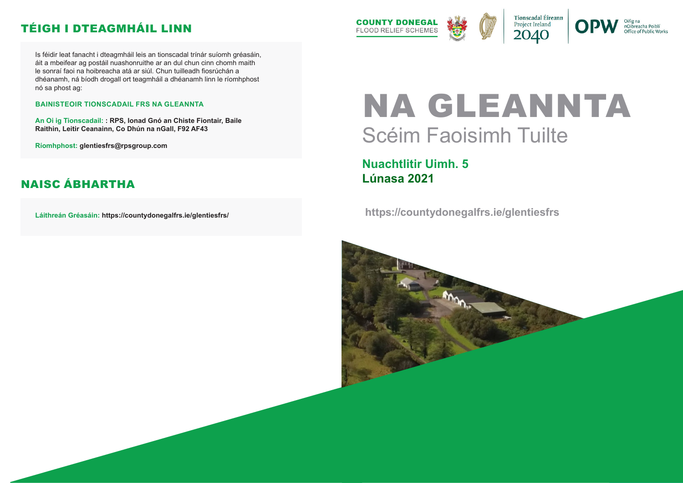**https://countydonegalfrs.ie/glentiesfrs**





nOibreacha Poiblí Office of Public Works

# NA GLEANNTA Scéim Faoisimh Tuilte

**Nuachtlitir Uimh. 5 Lúnasa 2021**

Is féidir leat fanacht i dteagmháil leis an tionscadal trínár suíomh gréasáin, áit a mbeifear ag postáil nuashonruithe ar an dul chun cinn chomh maith le sonraí faoi na hoibreacha atá ar siúl. Chun tuilleadh fiosrúchán a dhéanamh, ná bíodh drogall ort teagmháil a dhéanamh linn le ríomhphost nó sa phost ag:

#### **BAINISTEOIR TIONSCADAIL FRS NA GLEANNTA**

**An Oi ig Tionscadail: : RPS, Ionad Gnó an Chiste Fiontair, Baile Raithin, Leitir Ceanainn, Co Dhún na nGall, F92 AF43**

**Ríomhphost: glentiesfrs@rpsgroup.com**

**Láithreán Gréasáin: https://countydonegalfrs.ie/glentiesfrs/**



#### TÉIGH I DTEAGMHÁIL LINN

#### NAISC ÁBHARTHA